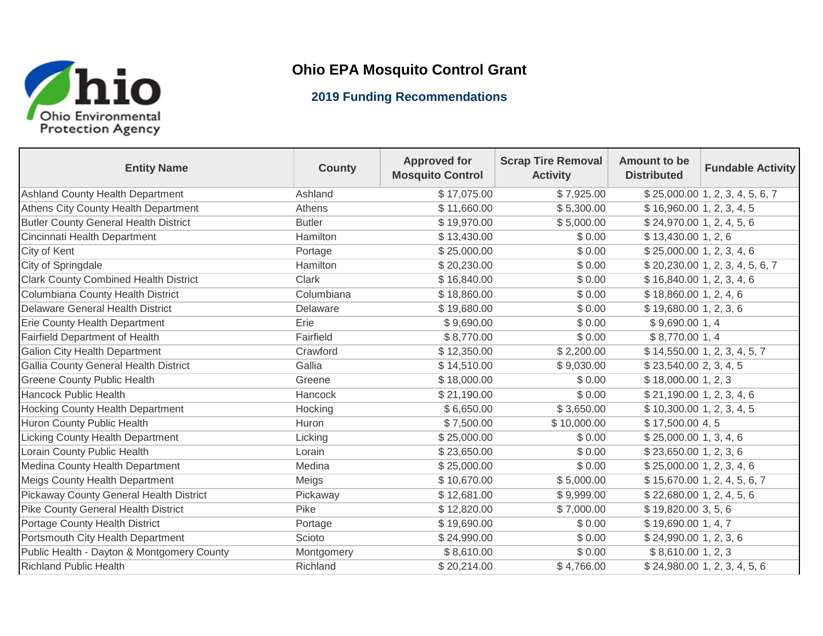

## **Ohio EPA Mosquito Control Grant**

## **2019 Funding Recommendations**

| <b>Entity Name</b>                           | <b>County</b> | <b>Approved for</b><br><b>Mosquito Control</b> | <b>Scrap Tire Removal</b><br><b>Activity</b> | <b>Amount to be</b><br><b>Distributed</b> | <b>Fundable Activity</b>         |
|----------------------------------------------|---------------|------------------------------------------------|----------------------------------------------|-------------------------------------------|----------------------------------|
| Ashland County Health Department             | Ashland       | $\overline{$}17,075.00$                        | \$7,925.00                                   |                                           | \$25,000.00 1, 2, 3, 4, 5, 6, 7  |
| Athens City County Health Department         | Athens        | \$11,660.00                                    | \$5,300.00                                   | \$16,960.00 1, 2, 3, 4, 5                 |                                  |
| <b>Butler County General Health District</b> | <b>Butler</b> | \$19,970.00                                    | \$5,000.00                                   | \$24,970.00 1, 2, 4, 5, 6                 |                                  |
| Cincinnati Health Department                 | Hamilton      | \$13,430.00                                    | \$0.00                                       | \$13,430.001, 2, 6                        |                                  |
| City of Kent                                 | Portage       | \$25,000.00                                    | \$0.00                                       | \$25,000.00 1, 2, 3, 4, 6                 |                                  |
| City of Springdale                           | Hamilton      | \$20,230.00                                    | \$0.00                                       |                                           | $$20,230.00$ 1, 2, 3, 4, 5, 6, 7 |
| <b>Clark County Combined Health District</b> | <b>Clark</b>  | \$16,840.00                                    | \$0.00                                       | \$16,840.001, 2, 3, 4, 6                  |                                  |
| Columbiana County Health District            | Columbiana    | \$18,860.00                                    | \$0.00                                       | \$18,860.001, 2, 4, 6                     |                                  |
| <b>Delaware General Health District</b>      | Delaware      | \$19,680.00                                    | \$0.00                                       | \$19,680.001, 2, 3, 6                     |                                  |
| Erie County Health Department                | Erie          | \$9,690.00                                     | \$0.00                                       | \$9,690.00 1,4                            |                                  |
| Fairfield Department of Health               | Fairfield     | \$8,770.00                                     | \$0.00                                       | \$8,770.00 1,4                            |                                  |
| <b>Galion City Health Department</b>         | Crawford      | \$12,350.00                                    | \$2,200.00                                   |                                           | \$14,550.00 1, 2, 3, 4, 5, 7     |
| Gallia County General Health District        | Gallia        | \$14,510.00                                    | \$9,030.00                                   | \$23,540.00 2, 3, 4, 5                    |                                  |
| <b>Greene County Public Health</b>           | Greene        | \$18,000.00                                    | \$0.00                                       | \$18,000.00 1, 2, 3                       |                                  |
| <b>Hancock Public Health</b>                 | Hancock       | \$21,190.00                                    | \$0.00                                       | \$21,190.001, 2, 3, 4, 6                  |                                  |
| <b>Hocking County Health Department</b>      | Hocking       | \$6,650.00                                     | \$3,650.00                                   | \$10,300.00 1, 2, 3, 4, 5                 |                                  |
| Huron County Public Health                   | Huron         | \$7,500.00                                     | \$10,000.00                                  | \$17,500.00 4,5                           |                                  |
| <b>Licking County Health Department</b>      | Licking       | \$25,000.00                                    | \$0.00                                       | \$25,000.00 1, 3, 4, 6                    |                                  |
| Lorain County Public Health                  | Lorain        | \$23,650.00                                    | \$0.00                                       | \$23,650.001, 2, 3, 6                     |                                  |
| Medina County Health Department              | Medina        | \$25,000.00                                    | \$0.00                                       | \$25,000.00 1, 2, 3, 4, 6                 |                                  |
| <b>Meigs County Health Department</b>        | Meigs         | \$10,670.00                                    | \$5,000.00                                   |                                           | \$15,670.00 1, 2, 4, 5, 6, 7     |
| Pickaway County General Health District      | Pickaway      | \$12,681.00                                    | \$9,999.00                                   | \$22,680.00 1, 2, 4, 5, 6                 |                                  |
| <b>Pike County General Health District</b>   | Pike          | \$12,820.00                                    | \$7,000.00                                   | \$19,820.00 3, 5, 6                       |                                  |
| Portage County Health District               | Portage       | \$19,690.00                                    | \$0.00                                       | \$19,690.00 1, 4, 7                       |                                  |
| Portsmouth City Health Department            | Scioto        | \$24,990.00                                    | \$0.00                                       | \$24,990.001, 2, 3, 6                     |                                  |
| Public Health - Dayton & Montgomery County   | Montgomery    | \$8,610.00                                     | \$0.00                                       | \$8,610.00 1, 2, 3                        |                                  |
| <b>Richland Public Health</b>                | Richland      | \$20,214.00                                    | \$4,766.00                                   |                                           | \$24,980.001, 2, 3, 4, 5, 6      |